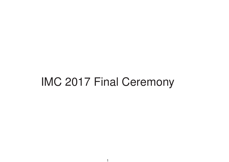# IMC 2017 Final Ceremony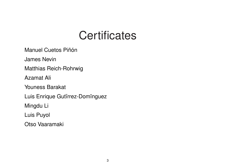Manuel Cuetos Piñón

James Nevin

Matthias Reich-Rohrwig

Azamat Ali

Youness Barakat

Luis Enrique Gutirrez-Dominguez

Mingdu Li

Luis Puyol

Otso Vaaramaki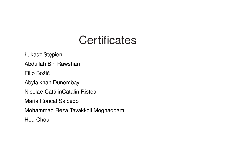Łukasz Stępień

Abdullah Bin Rawshan

Filip Božič

Abylaikhan Dunembay

Nicolae-Cātā linCatalin Ristea

Maria Roncal Salcedo

Mohammad Reza Tavakkoli Moghaddam

Hou Chou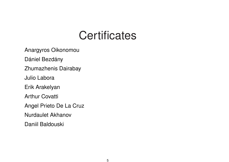Anargyros Oikonomou

Dániel Bezdány

Zhumazhenis Dairabay

Julio Labora

Erik Arakelyan

Arthur Covatti

Angel Prieto De La Cruz

Nurdaulet Akhanov

Daniil Baldouski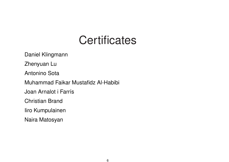Daniel Klingmann Zhenyuan Lu Antonino Sota Muhammad Faikar Mustafidz Al-Habibi Joan Arnalot i Farrís Christian Brand Iiro Kumpulainen Naira Matosyan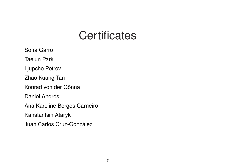Sofïa Garro Taejun Park Ljupcho Petrov Zhao Kuang Tan Konrad von der Gönna Daniel Andrés Ana Karoline Borges Carneiro Kanstantsin Ataryk Juan Carlos Cruz-González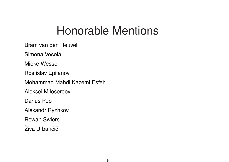Bram van den Heuvel

Simona Veselá

Mieke Wessel

Rostislav Epifanov

Mohammad Mahdi Kazemi Esfeh

Aleksei Miloserdov

Darius Pop

Alexandr Ryzhkov

Rowan Swiers

Živa Urbančič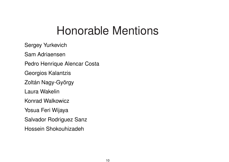Sergey Yurkevich

Sam Adriaensen

Pedro Henrique Alencar Costa

Georgios Kalantzis

Zoltán Nagy-György

Laura Wakelin

Konrad Walkowicz

Yosua Feri Wijaya

Salvador Rodriguez Sanz

Hossein Shokouhizadeh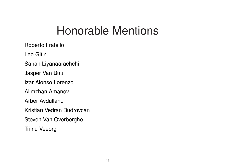Roberto Fratello

Leo Gitin

Sahan Liyanaarachchi

Jasper Van Buul

Izar Alonso Lorenzo

Alimzhan Amanov

Arber Avdullahu

Kristian Vedran Budrovcan

Steven Van Overberghe

Triinu Veeorg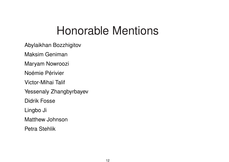Abylaikhan Bozzhigitov

Maksim Geniman

Maryam Nowroozi

Noémie Périvier

Victor-Mihai Talif

Yessenaly Zhangbyrbayev

Didrik Fosse

Lingbo Ji

Matthew Johnson

Petra Stehlik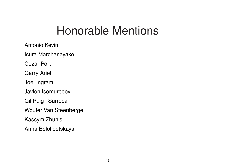Antonio Kevin

Isura Marchanayake

Cezar Port

Garry Ariel

Joel Ingram

Javlon Isomurodov

Gil Puig i Surroca

Wouter Van Steenberge

Kassym Zhunis

Anna Belolipetskaya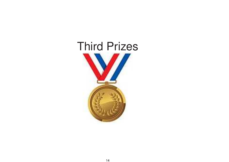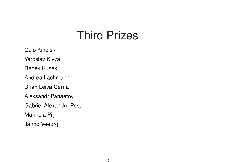Caio Kinelski Yaroslav Kivva Radek Kusek Andrea Lachmann Brian Leiva Cerna Aleksandr Panaetov Gabriel Alexandru Pesu Marinela Pilj Janno Veeorg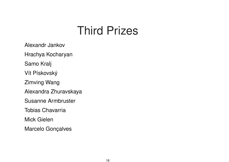Alexandr Jankov

Hrachya Kocharyan

Samo Kralj

Vít Pískovský

Zimving Wang

Alexandra Zhuravskaya

Susanne Armbruster

Tobias Chavarria

Mick Gielen

Marcelo Gonçalves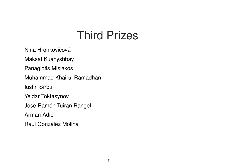Nina Hronkovičová

Maksat Kuanyshbay

Panagiotis Misiakos

Muhammad Khairul Ramadhan

Iustin Sîrbu

Yeldar Toktasynov

José Ramón Tuiran Rangel

Arman Adibi

Raúl González Molina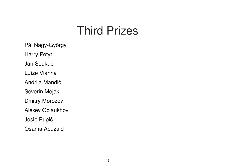Pál Nagy-György Harry Petyt Jan Soukup Luïze Vianna Andrija Mandić Severin Mejak Dmitry Morozov Alexey Oblaukhov Josip Pupić Osama Abuzaid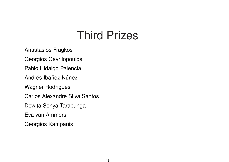Anastasios Fragkos

Georgios Gavrilopoulos

Pablo Hidalgo Palencia

Andrés Ibáñez Núñez

Wagner Rodrigues

Carlos Alexandre Silva Santos

Dewita Sonya Tarabunga

Eva van Ammers

Georgios Kampanis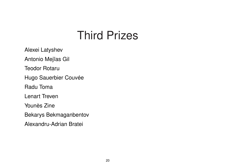Alexei Latyshev

Antonio Mejïas Gil

Teodor Rotaru

Hugo Sauerbier Couvée

Radu Toma

Lenart Treven

Younès Zine

Bekarys Bekmaganbentov

Alexandru-Adrian Bratei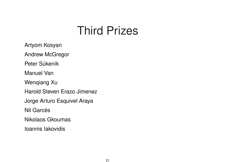Artyom Kosyan

Andrew McGregor

Peter Súkeník

Manuel Van

Wenqiang Xu

Harold Steven Erazo Jimenez

Jorge Arturo Esquivel Araya

Nil Garcés

Nikolaos Gkoumas

Ioannis Iakovidis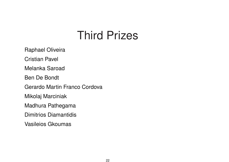Raphael Oliveira

Cristian Pavel

Melanka Saroad

Ben De Bondt

Gerardo Martin Franco Cordova

Mikolaj Marciniak

Madhura Pathegama

Dimitrios Diamantidis

Vasileios Gkoumas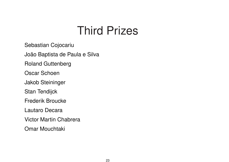Sebastian Cojocariu

João Baptista de Paula <sup>e</sup> Silva

Roland Guttenberg

Oscar Schoen

Jakob Steininger

Stan Tendijck

Frederik Broucke

Lautaro Decara

Victor Martin Chabrera

Omar Mouchtaki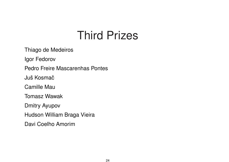Thiago de Medeiros

Igor Fedorov

Pedro Freire Mascarenhas Pontes

Juš Kosmač

Camille Mau

Tomasz Wawak

Dmitry Ayupov

Hudson William Braga Vieira

Davi Coelho Amorim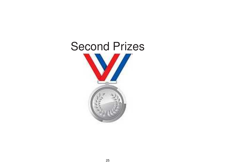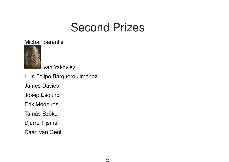Michail Sarantis



Ivan Yakovlev

Luis Felipe Barquero Jiménez James Davies Josep Esquirol Erik Medeiros Tamás Szőke Djurre Tijsma Daan van Gent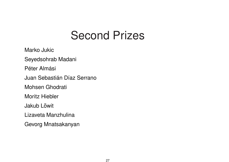Marko Jukic Seyedsohrab Madani

Péter Almási

Juan Sebastián Díaz Serrano

Mohsen Ghodrati

Moritz Hiebler

**Jakub Lőwit** 

Lizaveta Manzhulina

Gevorg Mnatsakanyan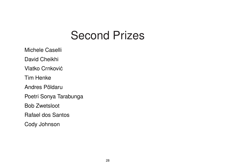Michele Caselli

David Cheikhi

Vlatko Crnković

Tim Henke

Andres Põldaru

Poetri Sonya Tarabunga

Bob Zwetsloot

Rafael dos Santos

Cody Johnson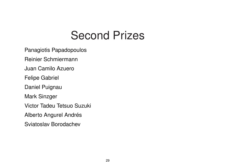Panagiotis Papadopoulos

Reinier Schmiermann

Juan Camilo Azuero

Felipe Gabriel

Daniel Puignau

Mark Sinzger

Victor Tadeu Tetsuo Suzuki

Alberto Angurel Andrés

Sviatoslav Borodachev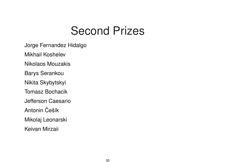Jorge Fernandez Hidalgo

Mikhail Koshelev

Nikolaos Mouzakis

Barys Serankou

Nikita Skybytskyi

Tomasz Bochacik

Jefferson Caesario

Antonin Češík

Mikolaj Leonarski

Keivan Mirzaii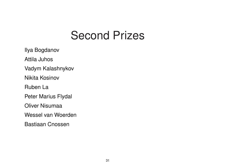Ilya Bogdanov Attila Juhos Vadym Kalashnykov Nikita Kosinov Ruben La Peter Marius Flydal Oliver Nisumaa Wessel van Woerden Bastiaan Cnossen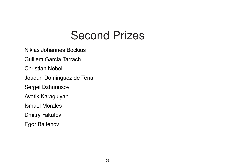Niklas Johannes Bockius

Guillem Garcia Tarrach

Christian Nöbel

Joaquñ Domiñguez de Tena

Sergei Dzhunusov

Avetik Karagulyan

Ismael Morales

Dmitry Yakutov

Egor Baitenov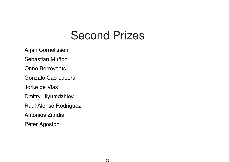Arjan Cornelissen

Sebastian Muñoz

Onno Berrevoets

Gonzalo Cao Labora

Jorke de Vlas

Dmitry Ulyumdzhiev

Raul Alonso Rodriguez

Antonios Zitridis

Péter Ágoston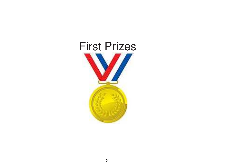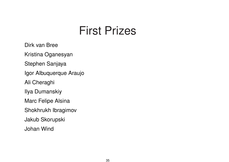Dirk van Bree Kristina Oganesyan Stephen Sanjaya Igor Albuquerque Araujo Ali Cheraghi Ilya Dumanskiy Marc Felipe Alsina Shokhrukh Ibragimov Jakub Skorupski Johan Wind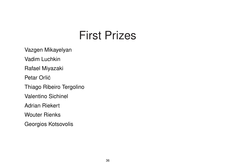Vazgen Mikayelyan

Vadim Luchkin

Rafael Miyazaki

Petar Orlić

Thiago Ribeiro Tergolino

Valentino Sichinel

Adrian Riekert

Wouter Rienks

Georgios Kotsovolis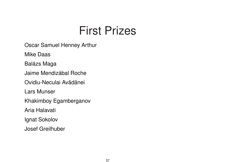Oscar Samuel Henney Arthur

Mike Daas

Balázs Maga

Jaime Mendizábal Roche

Ovidiu-Neculai Avădānei

Lars Munser

Khakimboy Egamberganov

Aria Halavati

Ignat Sokolov

Josef Greilhuber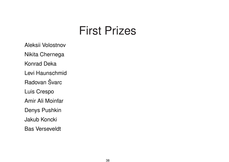Aleksii Volostnov Nikita Chernega Konrad Deka Levi Haunschmid Radovan Švarc Luis Crespo Amir Ali Moinfar Denys Pushkin Jakub Koncki Bas Verseveldt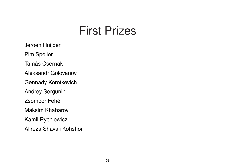Jeroen Huijben

Pim Spelier

Tamás Csernák

Aleksandr Golovanov

Gennady Korotkevich

Andrey Sergunin

Zsombor Fehér

Maksim Khabarov

Kamil Rychlewicz

Alireza Shavali Kohshor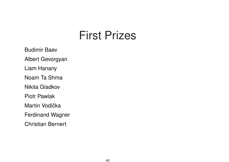Budimir Baev Albert Gevorgyan Liam Hanany Noam Ta Shma Nikita Gladkov Piotr Pawlak Martin Vodička

Ferdinand Wagner

Christian Bernert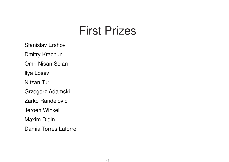Stanislav Ershov

Dmitry Krachun

Omri Nisan Solan

Ilya Losev

Nitzan Tur

Grzegorz Adamski

Zarko Randelovic

Jeroen Winkel

Maxim Didin

Damia Torres Latorre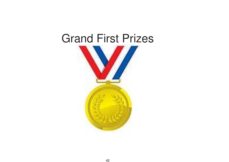#### Grand First Prizes

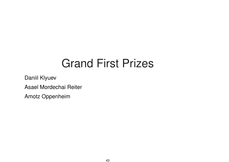# Grand First Prizes

Daniil Klyuev

Asael Mordechai Reiter

Amotz Oppenheim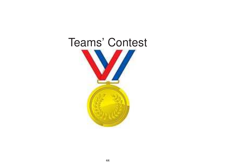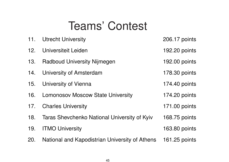# Teams' Contest

| 11. | <b>Utrecht University</b>                      | 206.17 points        |
|-----|------------------------------------------------|----------------------|
| 12. | Universiteit Leiden                            | 192.20 points        |
| 13. | <b>Radboud University Nijmegen</b>             | 192.00 points        |
| 14. | <b>University of Amsterdam</b>                 | 178.30 points        |
| 15. | University of Vienna                           | 174.40 points        |
| 16. | <b>Lomonosov Moscow State University</b>       | 174 20 points        |
| 17. | <b>Charles University</b>                      | <b>171.00 points</b> |
| 18. | Taras Shevchenko National University of Kyiv   | 168.75 points        |
| 19. | <b>ITMO University</b>                         | 163.80 points        |
| 20. | National and Kapodistrian University of Athens | 161.25 points        |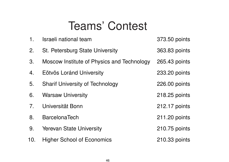# Teams' Contest

| $\mathbf 1$ . | <b>Israeli national team</b>               | 373.50 points |
|---------------|--------------------------------------------|---------------|
| 2.            | St. Petersburg State University            | 363.83 points |
| 3.            | Moscow Institute of Physics and Technology | 265.43 points |
| 4.            | Eötvös Loránd University                   | 233.20 points |
| 5.            | <b>Sharif University of Technology</b>     | 226.00 points |
| 6.            | <b>Warsaw University</b>                   | 218.25 points |
| 7.            | Universität Bonn                           | 212.17 points |
| 8.            | <b>BarcelonaTech</b>                       | 211.20 points |
| 9.            | <b>Yerevan State University</b>            | 210.75 points |
| 10.           | <b>Higher School of Economics</b>          | 210.33 points |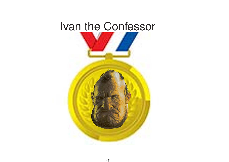# Ivan the Confessor

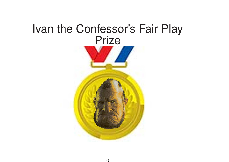#### Ivan the Confessor's Fair Play **Prize**

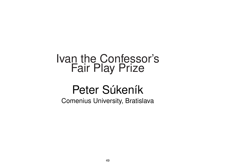#### Ivan the Confessor's Fair Play Prize

# Peter Súkeník

Comenius University, Bratislava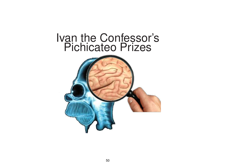#### Ivan the Confessor's Pichicateo Prizes

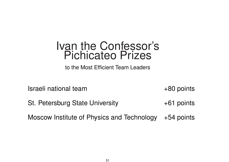#### Ivan the Confessor's Pichicateo Prizes

to the Most Efficient Team Leaders

Israeli national team  $+80$  points

St. Petersburg State University  $+61$  points

Moscow Institute of Physics and Technology +54 points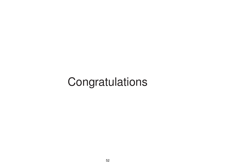# Congratulations